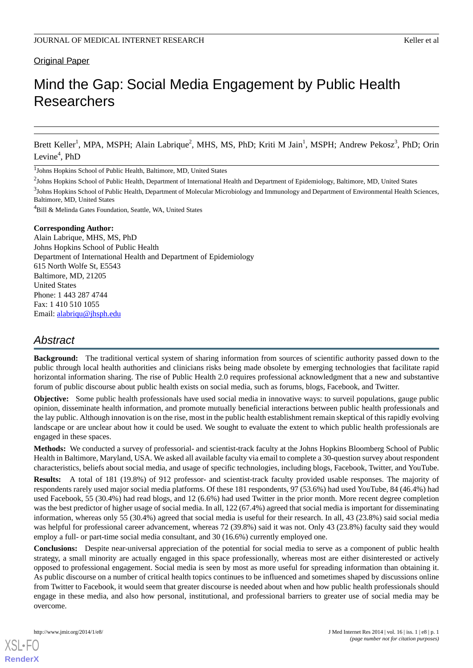# **Original Paper**

# Mind the Gap: Social Media Engagement by Public Health Researchers

Brett Keller<sup>1</sup>, MPA, MSPH; Alain Labrique<sup>2</sup>, MHS, MS, PhD; Kriti M Jain<sup>1</sup>, MSPH; Andrew Pekosz<sup>3</sup>, PhD; Orin Levine<sup>4</sup>, PhD

<sup>1</sup>Johns Hopkins School of Public Health, Baltimore, MD, United States

<sup>2</sup>Johns Hopkins School of Public Health, Department of International Health and Department of Epidemiology, Baltimore, MD, United States

 $^3$ Johns Hopkins School of Public Health, Department of Molecular Microbiology and Immunology and Department of Environmental Health Sciences, Baltimore, MD, United States

<sup>4</sup>Bill & Melinda Gates Foundation, Seattle, WA, United States

#### **Corresponding Author:**

Alain Labrique, MHS, MS, PhD Johns Hopkins School of Public Health Department of International Health and Department of Epidemiology 615 North Wolfe St, E5543 Baltimore, MD, 21205 United States Phone: 1 443 287 4744 Fax: 1 410 510 1055 Email: [alabriqu@jhsph.edu](mailto:alabriqu@jhsph.edu)

# *Abstract*

**Background:** The traditional vertical system of sharing information from sources of scientific authority passed down to the public through local health authorities and clinicians risks being made obsolete by emerging technologies that facilitate rapid horizontal information sharing. The rise of Public Health 2.0 requires professional acknowledgment that a new and substantive forum of public discourse about public health exists on social media, such as forums, blogs, Facebook, and Twitter.

**Objective:** Some public health professionals have used social media in innovative ways: to surveil populations, gauge public opinion, disseminate health information, and promote mutually beneficial interactions between public health professionals and the lay public. Although innovation is on the rise, most in the public health establishment remain skeptical of this rapidly evolving landscape or are unclear about how it could be used. We sought to evaluate the extent to which public health professionals are engaged in these spaces.

**Methods:** We conducted a survey of professorial- and scientist-track faculty at the Johns Hopkins Bloomberg School of Public Health in Baltimore, Maryland, USA. We asked all available faculty via email to complete a 30-question survey about respondent characteristics, beliefs about social media, and usage of specific technologies, including blogs, Facebook, Twitter, and YouTube.

**Results:** A total of 181 (19.8%) of 912 professor- and scientist-track faculty provided usable responses. The majority of respondents rarely used major social media platforms. Of these 181 respondents, 97 (53.6%) had used YouTube, 84 (46.4%) had used Facebook, 55 (30.4%) had read blogs, and 12 (6.6%) had used Twitter in the prior month. More recent degree completion was the best predictor of higher usage of social media. In all, 122 (67.4%) agreed that social media is important for disseminating information, whereas only 55 (30.4%) agreed that social media is useful for their research. In all, 43 (23.8%) said social media was helpful for professional career advancement, whereas 72 (39.8%) said it was not. Only 43 (23.8%) faculty said they would employ a full- or part-time social media consultant, and 30 (16.6%) currently employed one.

**Conclusions:** Despite near-universal appreciation of the potential for social media to serve as a component of public health strategy, a small minority are actually engaged in this space professionally, whereas most are either disinterested or actively opposed to professional engagement. Social media is seen by most as more useful for spreading information than obtaining it. As public discourse on a number of critical health topics continues to be influenced and sometimes shaped by discussions online from Twitter to Facebook, it would seem that greater discourse is needed about when and how public health professionals should engage in these media, and also how personal, institutional, and professional barriers to greater use of social media may be overcome.

[XSL](http://www.w3.org/Style/XSL)•FO **[RenderX](http://www.renderx.com/)**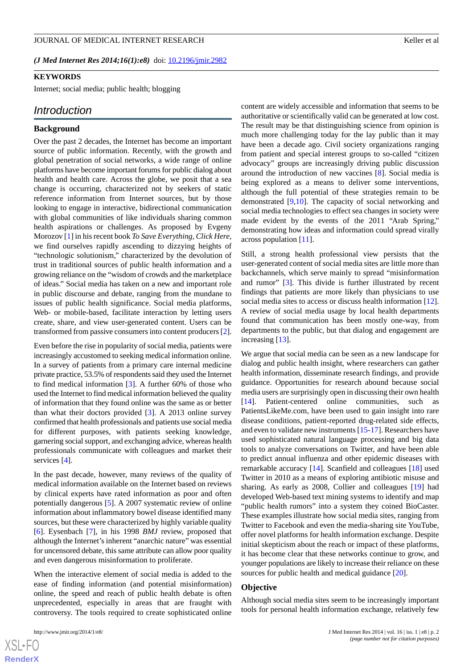*(J Med Internet Res 2014;16(1):e8)* doi:  $10.2196/$ jmir.2982

#### **KEYWORDS**

Internet; social media; public health; blogging

# *Introduction*

#### **Background**

Over the past 2 decades, the Internet has become an important source of public information. Recently, with the growth and global penetration of social networks, a wide range of online platforms have become important forums for public dialog about health and health care. Across the globe, we posit that a sea change is occurring, characterized not by seekers of static reference information from Internet sources, but by those looking to engage in interactive, bidirectional communication with global communities of like individuals sharing common health aspirations or challenges. As proposed by Evgeny Morozov [\[1](#page-5-0)] in his recent book *To Save Everything, Click Here*, we find ourselves rapidly ascending to dizzying heights of "technologic solutionism," characterized by the devolution of trust in traditional sources of public health information and a growing reliance on the "wisdom of crowds and the marketplace of ideas." Social media has taken on a new and important role in public discourse and debate, ranging from the mundane to issues of public health significance. Social media platforms, Web- or mobile-based, facilitate interaction by letting users create, share, and view user-generated content. Users can be transformed from passive consumers into content producers [[2\]](#page-5-1).

Even before the rise in popularity of social media, patients were increasingly accustomed to seeking medical information online. In a survey of patients from a primary care internal medicine private practice, 53.5% of respondents said they used the Internet to find medical information [[3\]](#page-5-2). A further 60% of those who used the Internet to find medical information believed the quality of information that they found online was the same as or better than what their doctors provided [[3\]](#page-5-2). A 2013 online survey confirmed that health professionals and patients use social media for different purposes, with patients seeking knowledge, garnering social support, and exchanging advice, whereas health professionals communicate with colleagues and market their services [[4\]](#page-5-3).

In the past decade, however, many reviews of the quality of medical information available on the Internet based on reviews by clinical experts have rated information as poor and often potentially dangerous [\[5](#page-5-4)]. A 2007 systematic review of online information about inflammatory bowel disease identified many sources, but these were characterized by highly variable quality [[6\]](#page-5-5). Eysenbach [[7\]](#page-6-0), in his 1998 *BMJ* review, proposed that although the Internet's inherent "anarchic nature" was essential for uncensored debate, this same attribute can allow poor quality and even dangerous misinformation to proliferate.

When the interactive element of social media is added to the ease of finding information (and potential misinformation) online, the speed and reach of public health debate is often unprecedented, especially in areas that are fraught with controversy. The tools required to create sophisticated online

 $XS$ -FO **[RenderX](http://www.renderx.com/)** content are widely accessible and information that seems to be authoritative or scientifically valid can be generated at low cost. The result may be that distinguishing science from opinion is much more challenging today for the lay public than it may have been a decade ago. Civil society organizations ranging from patient and special interest groups to so-called "citizen advocacy" groups are increasingly driving public discussion around the introduction of new vaccines [[8](#page-6-1)]. Social media is being explored as a means to deliver some interventions, although the full potential of these strategies remain to be demonstrated [[9](#page-6-2)[,10](#page-6-3)]. The capacity of social networking and social media technologies to effect sea changes in society were made evident by the events of the 2011 "Arab Spring," demonstrating how ideas and information could spread virally across population [[11\]](#page-6-4).

Still, a strong health professional view persists that the user-generated content of social media sites are little more than backchannels, which serve mainly to spread "misinformation and rumor" [\[3](#page-5-2)]. This divide is further illustrated by recent findings that patients are more likely than physicians to use social media sites to access or discuss health information [[12\]](#page-6-5). A review of social media usage by local health departments found that communication has been mostly one-way, from departments to the public, but that dialog and engagement are increasing [[13\]](#page-6-6).

We argue that social media can be seen as a new landscape for dialog and public health insight, where researchers can gather health information, disseminate research findings, and provide guidance. Opportunities for research abound because social media users are surprisingly open in discussing their own health [[14\]](#page-6-7). Patient-centered online communities, such as PatientsLikeMe.com, have been used to gain insight into rare disease conditions, patient-reported drug-related side effects, and even to validate new instruments [\[15](#page-6-8)[-17](#page-6-9)]. Researchers have used sophisticated natural language processing and big data tools to analyze conversations on Twitter, and have been able to predict annual influenza and other epidemic diseases with remarkable accuracy [\[14](#page-6-7)]. Scanfield and colleagues [\[18](#page-6-10)] used Twitter in 2010 as a means of exploring antibiotic misuse and sharing. As early as 2008, Collier and colleagues [[19\]](#page-6-11) had developed Web-based text mining systems to identify and map "public health rumors" into a system they coined BioCaster. These examples illustrate how social media sites, ranging from Twitter to Facebook and even the media-sharing site YouTube, offer novel platforms for health information exchange. Despite initial skepticism about the reach or impact of these platforms, it has become clear that these networks continue to grow, and younger populations are likely to increase their reliance on these sources for public health and medical guidance [[20\]](#page-6-12).

#### **Objective**

Although social media sites seem to be increasingly important tools for personal health information exchange, relatively few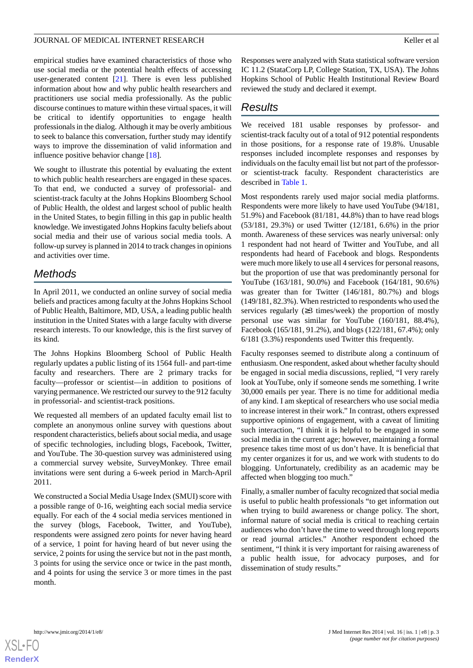### JOURNAL OF MEDICAL INTERNET RESEARCH SERVICES AND RELATIONS AND RELATIONS AND RELATIONS AND RELATIONS AND RELATIONS

empirical studies have examined characteristics of those who use social media or the potential health effects of accessing user-generated content [\[21](#page-6-13)]. There is even less published information about how and why public health researchers and practitioners use social media professionally. As the public discourse continues to mature within these virtual spaces, it will be critical to identify opportunities to engage health professionals in the dialog. Although it may be overly ambitious to seek to balance this conversation, further study may identify ways to improve the dissemination of valid information and influence positive behavior change [\[18](#page-6-10)].

We sought to illustrate this potential by evaluating the extent to which public health researchers are engaged in these spaces. To that end, we conducted a survey of professorial- and scientist-track faculty at the Johns Hopkins Bloomberg School of Public Health, the oldest and largest school of public health in the United States, to begin filling in this gap in public health knowledge. We investigated Johns Hopkins faculty beliefs about social media and their use of various social media tools. A follow-up survey is planned in 2014 to track changes in opinions and activities over time.

# *Methods*

In April 2011, we conducted an online survey of social media beliefs and practices among faculty at the Johns Hopkins School of Public Health, Baltimore, MD, USA, a leading public health institution in the United States with a large faculty with diverse research interests. To our knowledge, this is the first survey of its kind.

The Johns Hopkins Bloomberg School of Public Health regularly updates a public listing of its 1564 full- and part-time faculty and researchers. There are 2 primary tracks for faculty—professor or scientist—in addition to positions of varying permanence. We restricted our survey to the 912 faculty in professorial- and scientist-track positions.

We requested all members of an updated faculty email list to complete an anonymous online survey with questions about respondent characteristics, beliefs about social media, and usage of specific technologies, including blogs, Facebook, Twitter, and YouTube. The 30-question survey was administered using a commercial survey website, SurveyMonkey. Three email invitations were sent during a 6-week period in March-April 2011.

We constructed a Social Media Usage Index (SMUI) score with a possible range of 0-16, weighting each social media service equally. For each of the 4 social media services mentioned in the survey (blogs, Facebook, Twitter, and YouTube), respondents were assigned zero points for never having heard of a service, 1 point for having heard of but never using the service, 2 points for using the service but not in the past month, 3 points for using the service once or twice in the past month, and 4 points for using the service 3 or more times in the past month.

Responses were analyzed with Stata statistical software version IC 11.2 (StataCorp LP, College Station, TX, USA). The Johns Hopkins School of Public Health Institutional Review Board reviewed the study and declared it exempt.

# *Results*

We received 181 usable responses by professor- and scientist-track faculty out of a total of 912 potential respondents in those positions, for a response rate of 19.8%. Unusable responses included incomplete responses and responses by individuals on the faculty email list but not part of the professoror scientist-track faculty. Respondent characteristics are described in [Table 1](#page-3-0).

Most respondents rarely used major social media platforms. Respondents were more likely to have used YouTube (94/181, 51.9%) and Facebook (81/181, 44.8%) than to have read blogs (53/181, 29.3%) or used Twitter (12/181, 6.6%) in the prior month. Awareness of these services was nearly universal: only 1 respondent had not heard of Twitter and YouTube, and all respondents had heard of Facebook and blogs. Respondents were much more likely to use all 4 services for personal reasons, but the proportion of use that was predominantly personal for YouTube (163/181, 90.0%) and Facebook (164/181, 90.6%) was greater than for Twitter (146/181, 80.7%) and blogs (149/181, 82.3%). When restricted to respondents who used the services regularly  $(≥3$  times/week) the proportion of mostly personal use was similar for YouTube (160/181, 88.4%), Facebook (165/181, 91.2%), and blogs (122/181, 67.4%); only 6/181 (3.3%) respondents used Twitter this frequently.

Faculty responses seemed to distribute along a continuum of enthusiasm. One respondent, asked about whether faculty should be engaged in social media discussions, replied, "I very rarely look at YouTube, only if someone sends me something. I write 30,000 emails per year. There is no time for additional media of any kind. I am skeptical of researchers who use social media to increase interest in their work." In contrast, others expressed supportive opinions of engagement, with a caveat of limiting such interaction, "I think it is helpful to be engaged in some social media in the current age; however, maintaining a formal presence takes time most of us don't have. It is beneficial that my center organizes it for us, and we work with students to do blogging. Unfortunately, credibility as an academic may be affected when blogging too much."

Finally, a smaller number of faculty recognized that social media is useful to public health professionals "to get information out when trying to build awareness or change policy. The short, informal nature of social media is critical to reaching certain audiences who don't have the time to weed through long reports or read journal articles." Another respondent echoed the sentiment, "I think it is very important for raising awareness of a public health issue, for advocacy purposes, and for dissemination of study results."

[XSL](http://www.w3.org/Style/XSL)•FO **[RenderX](http://www.renderx.com/)**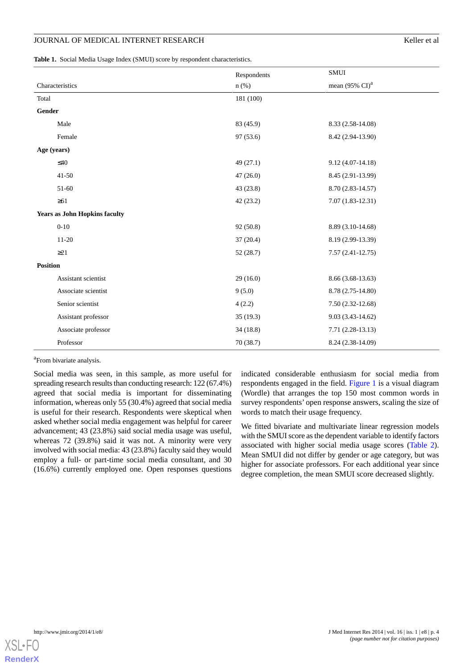## JOURNAL OF MEDICAL INTERNET RESEARCH **EXECUTE:** THE SECOND MELTER IS A SERIES OF MELTER AND RESEARCH

<span id="page-3-0"></span>**Table 1.** Social Media Usage Index (SMUI) score by respondent characteristics.

|                                      |                     | Respondents | SMUI                                |
|--------------------------------------|---------------------|-------------|-------------------------------------|
|                                      | Characteristics     | $n$ (%)     | mean $(95\% \text{ CI})^{\text{a}}$ |
| Total                                |                     | 181 (100)   |                                     |
| Gender                               |                     |             |                                     |
|                                      | Male                | 83 (45.9)   | 8.33 (2.58-14.08)                   |
|                                      | Female              | 97 (53.6)   | 8.42 (2.94-13.90)                   |
| Age (years)                          |                     |             |                                     |
|                                      | $\leq 40$           | 49 (27.1)   | $9.12(4.07-14.18)$                  |
|                                      | $41 - 50$           | 47(26.0)    | 8.45 (2.91-13.99)                   |
|                                      | 51-60               | 43 (23.8)   | 8.70 (2.83-14.57)                   |
|                                      | $\geq 61$           | 42 (23.2)   | $7.07(1.83-12.31)$                  |
| <b>Years as John Hopkins faculty</b> |                     |             |                                     |
|                                      | $0 - 10$            | 92 (50.8)   | 8.89 (3.10-14.68)                   |
|                                      | $11-20$             | 37(20.4)    | 8.19 (2.99-13.39)                   |
|                                      | $\geq$ 21           | 52(28.7)    | $7.57(2.41-12.75)$                  |
| <b>Position</b>                      |                     |             |                                     |
|                                      | Assistant scientist | 29(16.0)    | 8.66 (3.68-13.63)                   |
|                                      | Associate scientist | 9(5.0)      | 8.78 (2.75-14.80)                   |
|                                      | Senior scientist    | 4(2.2)      | $7.50(2.32-12.68)$                  |
|                                      | Assistant professor | 35(19.3)    | $9.03(3.43-14.62)$                  |
|                                      | Associate professor | 34(18.8)    | $7.71(2.28-13.13)$                  |
|                                      | Professor           | 70(38.7)    | 8.24 (2.38-14.09)                   |

<sup>a</sup> From bivariate analysis.

Social media was seen, in this sample, as more useful for spreading research results than conducting research: 122 (67.4%) agreed that social media is important for disseminating information, whereas only 55 (30.4%) agreed that social media is useful for their research. Respondents were skeptical when asked whether social media engagement was helpful for career advancement; 43 (23.8%) said social media usage was useful, whereas 72 (39.8%) said it was not. A minority were very involved with social media: 43 (23.8%) faculty said they would employ a full- or part-time social media consultant, and 30 (16.6%) currently employed one. Open responses questions

indicated considerable enthusiasm for social media from respondents engaged in the field. [Figure 1](#page-4-0) is a visual diagram (Wordle) that arranges the top 150 most common words in survey respondents' open response answers, scaling the size of words to match their usage frequency.

We fitted bivariate and multivariate linear regression models with the SMUI score as the dependent variable to identify factors associated with higher social media usage scores ([Table 2\)](#page-4-1). Mean SMUI did not differ by gender or age category, but was higher for associate professors. For each additional year since degree completion, the mean SMUI score decreased slightly.

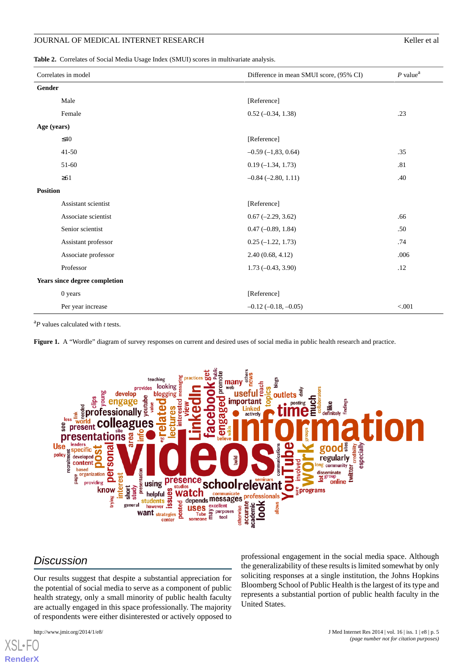#### JOURNAL OF MEDICAL INTERNET RESEARCH SERVICES AND RESEARCH Keller et al.

<span id="page-4-1"></span>**Table 2.** Correlates of Social Media Usage Index (SMUI) scores in multivariate analysis.

| Correlates in model           |                     | Difference in mean SMUI score, (95% CI) | $P$ value <sup><math>a</math></sup> |  |
|-------------------------------|---------------------|-----------------------------------------|-------------------------------------|--|
| Gender                        |                     |                                         |                                     |  |
|                               | Male                | [Reference]                             |                                     |  |
|                               | Female              | $0.52 (-0.34, 1.38)$                    | .23                                 |  |
| Age (years)                   |                     |                                         |                                     |  |
|                               | $\leq 40$           | [Reference]                             |                                     |  |
|                               | $41 - 50$           | $-0.59(-1, 83, 0.64)$                   | .35                                 |  |
|                               | 51-60               | $0.19(-1.34, 1.73)$                     | .81                                 |  |
|                               | $\geq 61$           | $-0.84$ $(-2.80, 1.11)$                 | .40                                 |  |
| <b>Position</b>               |                     |                                         |                                     |  |
|                               | Assistant scientist | [Reference]                             |                                     |  |
|                               | Associate scientist | $0.67$ (-2.29, 3.62)                    | .66                                 |  |
|                               | Senior scientist    | $0.47 (-0.89, 1.84)$                    | .50                                 |  |
|                               | Assistant professor | $0.25(-1.22, 1.73)$                     | .74                                 |  |
|                               | Associate professor | 2.40(0.68, 4.12)                        | .006                                |  |
|                               | Professor           | $1.73(-0.43, 3.90)$                     | .12                                 |  |
| Years since degree completion |                     |                                         |                                     |  |
|                               | 0 years             | [Reference]                             |                                     |  |
|                               | Per year increase   | $-0.12(-0.18,-0.05)$                    | < 0.001                             |  |

<span id="page-4-0"></span><sup>a</sup>*P* values calculated with *t* tests.

Figure 1. A "Wordle" diagram of survey responses on current and desired uses of social media in public health research and practice.



# *Discussion*

Our results suggest that despite a substantial appreciation for the potential of social media to serve as a component of public health strategy, only a small minority of public health faculty are actually engaged in this space professionally. The majority of respondents were either disinterested or actively opposed to

[XSL](http://www.w3.org/Style/XSL)•FO **[RenderX](http://www.renderx.com/)**

professional engagement in the social media space. Although the generalizability of these results is limited somewhat by only soliciting responses at a single institution, the Johns Hopkins Bloomberg School of Public Health is the largest of its type and represents a substantial portion of public health faculty in the United States.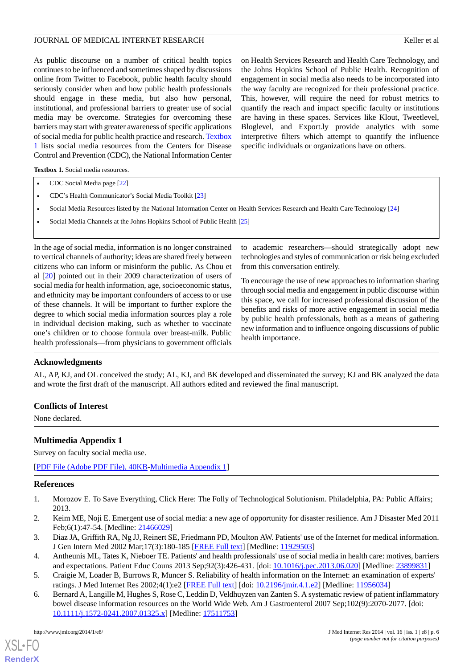## JOURNAL OF MEDICAL INTERNET RESEARCH SERVICES AND RELATIONS AND RELATIONS AND RELATIONS AND RELATIONS AND RELATIONS

As public discourse on a number of critical health topics continues to be influenced and sometimes shaped by discussions online from Twitter to Facebook, public health faculty should seriously consider when and how public health professionals should engage in these media, but also how personal, institutional, and professional barriers to greater use of social media may be overcome. Strategies for overcoming these barriers may start with greater awareness of specific applications of social media for public health practice and research. [Textbox](#page-5-6) [1](#page-5-6) lists social media resources from the Centers for Disease Control and Prevention (CDC), the National Information Center

on Health Services Research and Health Care Technology, and the Johns Hopkins School of Public Health. Recognition of engagement in social media also needs to be incorporated into the way faculty are recognized for their professional practice. This, however, will require the need for robust metrics to quantify the reach and impact specific faculty or institutions are having in these spaces. Services like Klout, Tweetlevel, Bloglevel, and Export.ly provide analytics with some interpretive filters which attempt to quantify the influence specific individuals or organizations have on others.

<span id="page-5-6"></span>**Textbox 1.** Social media resources.

- CDC Social Media page [\[22\]](#page-6-14)
- CDC's Health Communicator's Social Media Toolkit [[23](#page-6-15)]
- Social Media Resources listed by the National Information Center on Health Services Research and Health Care Technology [\[24\]](#page-6-16)
- Social Media Channels at the Johns Hopkins School of Public Health [\[25\]](#page-6-17)

In the age of social media, information is no longer constrained to vertical channels of authority; ideas are shared freely between citizens who can inform or misinform the public. As Chou et al [[20\]](#page-6-12) pointed out in their 2009 characterization of users of social media for health information, age, socioeconomic status, and ethnicity may be important confounders of access to or use of these channels. It will be important to further explore the degree to which social media information sources play a role in individual decision making, such as whether to vaccinate one's children or to choose formula over breast-milk. Public health professionals—from physicians to government officials

to academic researchers—should strategically adopt new technologies and styles of communication or risk being excluded from this conversation entirely.

To encourage the use of new approaches to information sharing through social media and engagement in public discourse within this space, we call for increased professional discussion of the benefits and risks of more active engagement in social media by public health professionals, both as a means of gathering new information and to influence ongoing discussions of public health importance.

## **Acknowledgments**

AL, AP, KJ, and OL conceived the study; AL, KJ, and BK developed and disseminated the survey; KJ and BK analyzed the data and wrote the first draft of the manuscript. All authors edited and reviewed the final manuscript.

### **Conflicts of Interest**

None declared.

## **Multimedia Appendix 1**

<span id="page-5-0"></span>Survey on faculty social media use.

<span id="page-5-1"></span>[[PDF File \(Adobe PDF File\), 40KB-Multimedia Appendix 1](https://jmir.org/api/download?alt_name=jmir_v16i1e8_app1.pdf&filename=22e3678d3c7b5325ed31a1c1f255f232.pdf)]

#### <span id="page-5-2"></span>**References**

- <span id="page-5-3"></span>1. Morozov E. To Save Everything, Click Here: The Folly of Technological Solutionism. Philadelphia, PA: Public Affairs; 2013.
- <span id="page-5-4"></span>2. Keim ME, Noji E. Emergent use of social media: a new age of opportunity for disaster resilience. Am J Disaster Med 2011 Feb;6(1):47-54. [Medline: [21466029](http://www.ncbi.nlm.nih.gov/entrez/query.fcgi?cmd=Retrieve&db=PubMed&list_uids=21466029&dopt=Abstract)]
- <span id="page-5-5"></span>3. Diaz JA, Griffith RA, Ng JJ, Reinert SE, Friedmann PD, Moulton AW. Patients' use of the Internet for medical information. J Gen Intern Med 2002 Mar;17(3):180-185 [[FREE Full text](http://europepmc.org/abstract/MED/11929503)] [Medline: [11929503](http://www.ncbi.nlm.nih.gov/entrez/query.fcgi?cmd=Retrieve&db=PubMed&list_uids=11929503&dopt=Abstract)]
- 4. Antheunis ML, Tates K, Nieboer TE. Patients' and health professionals' use of social media in health care: motives, barriers and expectations. Patient Educ Couns 2013 Sep;92(3):426-431. [doi: [10.1016/j.pec.2013.06.020\]](http://dx.doi.org/10.1016/j.pec.2013.06.020) [Medline: [23899831\]](http://www.ncbi.nlm.nih.gov/entrez/query.fcgi?cmd=Retrieve&db=PubMed&list_uids=23899831&dopt=Abstract)
- 5. Craigie M, Loader B, Burrows R, Muncer S. Reliability of health information on the Internet: an examination of experts' ratings. J Med Internet Res 2002;4(1):e2 [[FREE Full text\]](http://www.jmir.org/2002/1/e2/) [doi: [10.2196/jmir.4.1.e2](http://dx.doi.org/10.2196/jmir.4.1.e2)] [Medline: [11956034](http://www.ncbi.nlm.nih.gov/entrez/query.fcgi?cmd=Retrieve&db=PubMed&list_uids=11956034&dopt=Abstract)]
- 6. Bernard A, Langille M, Hughes S, Rose C, Leddin D, Veldhuyzen van Zanten S. A systematic review of patient inflammatory bowel disease information resources on the World Wide Web. Am J Gastroenterol 2007 Sep;102(9):2070-2077. [doi: [10.1111/j.1572-0241.2007.01325.x\]](http://dx.doi.org/10.1111/j.1572-0241.2007.01325.x) [Medline: [17511753\]](http://www.ncbi.nlm.nih.gov/entrez/query.fcgi?cmd=Retrieve&db=PubMed&list_uids=17511753&dopt=Abstract)

[XSL](http://www.w3.org/Style/XSL)•FO **[RenderX](http://www.renderx.com/)**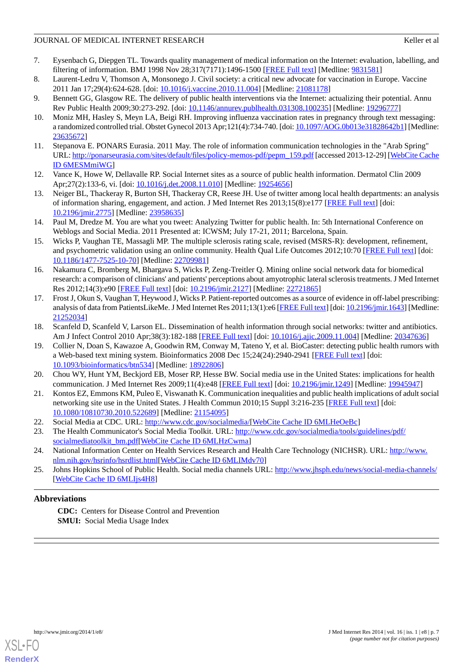## JOURNAL OF MEDICAL INTERNET RESEARCH SERVICES AND RELATIONS AND RELATIONS AND RELATIONS AND RELATIONS AND RELATIONS

- <span id="page-6-0"></span>7. Eysenbach G, Diepgen TL. Towards quality management of medical information on the Internet: evaluation, labelling, and filtering of information. BMJ 1998 Nov 28;317(7171):1496-1500 [\[FREE Full text\]](http://europepmc.org/abstract/MED/9831581) [Medline: [9831581\]](http://www.ncbi.nlm.nih.gov/entrez/query.fcgi?cmd=Retrieve&db=PubMed&list_uids=9831581&dopt=Abstract)
- <span id="page-6-2"></span><span id="page-6-1"></span>8. Laurent-Ledru V, Thomson A, Monsonego J. Civil society: a critical new advocate for vaccination in Europe. Vaccine 2011 Jan 17;29(4):624-628. [doi: [10.1016/j.vaccine.2010.11.004](http://dx.doi.org/10.1016/j.vaccine.2010.11.004)] [Medline: [21081178\]](http://www.ncbi.nlm.nih.gov/entrez/query.fcgi?cmd=Retrieve&db=PubMed&list_uids=21081178&dopt=Abstract)
- <span id="page-6-3"></span>9. Bennett GG, Glasgow RE. The delivery of public health interventions via the Internet: actualizing their potential. Annu Rev Public Health 2009;30:273-292. [doi: [10.1146/annurev.publhealth.031308.100235\]](http://dx.doi.org/10.1146/annurev.publhealth.031308.100235) [Medline: [19296777\]](http://www.ncbi.nlm.nih.gov/entrez/query.fcgi?cmd=Retrieve&db=PubMed&list_uids=19296777&dopt=Abstract)
- <span id="page-6-4"></span>10. Moniz MH, Hasley S, Meyn LA, Beigi RH. Improving influenza vaccination rates in pregnancy through text messaging: a randomized controlled trial. Obstet Gynecol 2013 Apr;121(4):734-740. [doi: [10.1097/AOG.0b013e31828642b1\]](http://dx.doi.org/10.1097/AOG.0b013e31828642b1) [Medline: [23635672](http://www.ncbi.nlm.nih.gov/entrez/query.fcgi?cmd=Retrieve&db=PubMed&list_uids=23635672&dopt=Abstract)]
- <span id="page-6-5"></span>11. Stepanova E. PONARS Eurasia. 2011 May. The role of information communication technologies in the "Arab Spring" URL: [http://ponarseurasia.com/sites/default/files/policy-memos-pdf/pepm\\_159.pdf](http://ponarseurasia.com/sites/default/files/policy-memos-pdf/pepm_159.pdf) [accessed 2013-12-29] [[WebCite Cache](http://www.webcitation.org/

                                    6MESMmiWG) [ID 6MESMmiWG](http://www.webcitation.org/

                                    6MESMmiWG)]
- <span id="page-6-6"></span>12. Vance K, Howe W, Dellavalle RP. Social Internet sites as a source of public health information. Dermatol Clin 2009 Apr;27(2):133-6, vi. [doi: [10.1016/j.det.2008.11.010](http://dx.doi.org/10.1016/j.det.2008.11.010)] [Medline: [19254656\]](http://www.ncbi.nlm.nih.gov/entrez/query.fcgi?cmd=Retrieve&db=PubMed&list_uids=19254656&dopt=Abstract)
- <span id="page-6-7"></span>13. Neiger BL, Thackeray R, Burton SH, Thackeray CR, Reese JH. Use of twitter among local health departments: an analysis of information sharing, engagement, and action. J Med Internet Res 2013;15(8):e177 [[FREE Full text](http://www.jmir.org/2013/8/e177/)] [doi: [10.2196/jmir.2775](http://dx.doi.org/10.2196/jmir.2775)] [Medline: [23958635](http://www.ncbi.nlm.nih.gov/entrez/query.fcgi?cmd=Retrieve&db=PubMed&list_uids=23958635&dopt=Abstract)]
- <span id="page-6-8"></span>14. Paul M, Dredze M. You are what you tweet: Analyzing Twitter for public health. In: 5th International Conference on Weblogs and Social Media. 2011 Presented at: ICWSM; July 17-21, 2011; Barcelona, Spain.
- 15. Wicks P, Vaughan TE, Massagli MP. The multiple sclerosis rating scale, revised (MSRS-R): development, refinement, and psychometric validation using an online community. Health Qual Life Outcomes 2012;10:70 [\[FREE Full text\]](http://www.hqlo.com/content/10//70) [doi: [10.1186/1477-7525-10-70\]](http://dx.doi.org/10.1186/1477-7525-10-70) [Medline: [22709981\]](http://www.ncbi.nlm.nih.gov/entrez/query.fcgi?cmd=Retrieve&db=PubMed&list_uids=22709981&dopt=Abstract)
- <span id="page-6-9"></span>16. Nakamura C, Bromberg M, Bhargava S, Wicks P, Zeng-Treitler Q. Mining online social network data for biomedical research: a comparison of clinicians' and patients' perceptions about amyotrophic lateral sclerosis treatments. J Med Internet Res 2012;14(3):e90 [[FREE Full text\]](http://www.jmir.org/2012/3/e90/) [doi: [10.2196/jmir.2127](http://dx.doi.org/10.2196/jmir.2127)] [Medline: [22721865\]](http://www.ncbi.nlm.nih.gov/entrez/query.fcgi?cmd=Retrieve&db=PubMed&list_uids=22721865&dopt=Abstract)
- <span id="page-6-11"></span><span id="page-6-10"></span>17. Frost J, Okun S, Vaughan T, Heywood J, Wicks P. Patient-reported outcomes as a source of evidence in off-label prescribing: analysis of data from PatientsLikeMe. J Med Internet Res 2011;13(1):e6 [\[FREE Full text](http://www.jmir.org/2011/1/e6/)] [doi: [10.2196/jmir.1643\]](http://dx.doi.org/10.2196/jmir.1643) [Medline: [21252034](http://www.ncbi.nlm.nih.gov/entrez/query.fcgi?cmd=Retrieve&db=PubMed&list_uids=21252034&dopt=Abstract)]
- 18. Scanfeld D, Scanfeld V, Larson EL. Dissemination of health information through social networks: twitter and antibiotics. Am J Infect Control 2010 Apr;38(3):182-188 [[FREE Full text](http://europepmc.org/abstract/MED/20347636)] [doi: [10.1016/j.ajic.2009.11.004\]](http://dx.doi.org/10.1016/j.ajic.2009.11.004) [Medline: [20347636\]](http://www.ncbi.nlm.nih.gov/entrez/query.fcgi?cmd=Retrieve&db=PubMed&list_uids=20347636&dopt=Abstract)
- <span id="page-6-13"></span><span id="page-6-12"></span>19. Collier N, Doan S, Kawazoe A, Goodwin RM, Conway M, Tateno Y, et al. BioCaster: detecting public health rumors with a Web-based text mining system. Bioinformatics 2008 Dec 15;24(24):2940-2941 [\[FREE Full text](http://bioinformatics.oxfordjournals.org/cgi/pmidlookup?view=long&pmid=18922806)] [doi: [10.1093/bioinformatics/btn534\]](http://dx.doi.org/10.1093/bioinformatics/btn534) [Medline: [18922806](http://www.ncbi.nlm.nih.gov/entrez/query.fcgi?cmd=Retrieve&db=PubMed&list_uids=18922806&dopt=Abstract)]
- <span id="page-6-14"></span>20. Chou WY, Hunt YM, Beckjord EB, Moser RP, Hesse BW. Social media use in the United States: implications for health communication. J Med Internet Res 2009;11(4):e48 [[FREE Full text\]](http://www.jmir.org/2009/4/e48/) [doi: [10.2196/jmir.1249](http://dx.doi.org/10.2196/jmir.1249)] [Medline: [19945947\]](http://www.ncbi.nlm.nih.gov/entrez/query.fcgi?cmd=Retrieve&db=PubMed&list_uids=19945947&dopt=Abstract)
- <span id="page-6-16"></span><span id="page-6-15"></span>21. Kontos EZ, Emmons KM, Puleo E, Viswanath K. Communication inequalities and public health implications of adult social networking site use in the United States. J Health Commun 2010;15 Suppl 3:216-235 [[FREE Full text](http://europepmc.org/abstract/MED/21154095)] [doi: [10.1080/10810730.2010.522689\]](http://dx.doi.org/10.1080/10810730.2010.522689) [Medline: [21154095\]](http://www.ncbi.nlm.nih.gov/entrez/query.fcgi?cmd=Retrieve&db=PubMed&list_uids=21154095&dopt=Abstract)
- <span id="page-6-17"></span>22. Social Media at CDC. URL: [http://www.cdc.gov/socialmedia/\[](http://www.cdc.gov/socialmedia/)[WebCite Cache ID 6MLHeOeBc](http://www.webcitation.org/

                                    6MLHeOeBc)]
- 23. The Health Communicator's Social Media Toolkit. URL: [http://www.cdc.gov/socialmedia/tools/guidelines/pdf/](http://www.cdc.gov/socialmedia/tools/guidelines/pdf/socialmediatoolkit_bm.pdf) [socialmediatoolkit\\_bm.pdf](http://www.cdc.gov/socialmedia/tools/guidelines/pdf/socialmediatoolkit_bm.pdf)[\[WebCite Cache ID 6MLHzCwma\]](http://www.webcitation.org/

                                    6MLHzCwma)
- 24. National Information Center on Health Services Research and Health Care Technology (NICHSR). URL: [http://www.](http://www.nlm.nih.gov/hsrinfo/hsrdlist.html) [nlm.nih.gov/hsrinfo/hsrdlist.html](http://www.nlm.nih.gov/hsrinfo/hsrdlist.html)[\[WebCite Cache ID 6MLIMdv70](http://www.webcitation.org/

                                    6MLIMdv70)]
- 25. Johns Hopkins School of Public Health. Social media channels URL:<http://www.jhsph.edu/news/social-media-channels/> [[WebCite Cache ID 6MLIjs4H8\]](http://www.webcitation.org/

                                    6MLIjs4H8)

# **Abbreviations**

**CDC:** Centers for Disease Control and Prevention **SMUI:** Social Media Usage Index